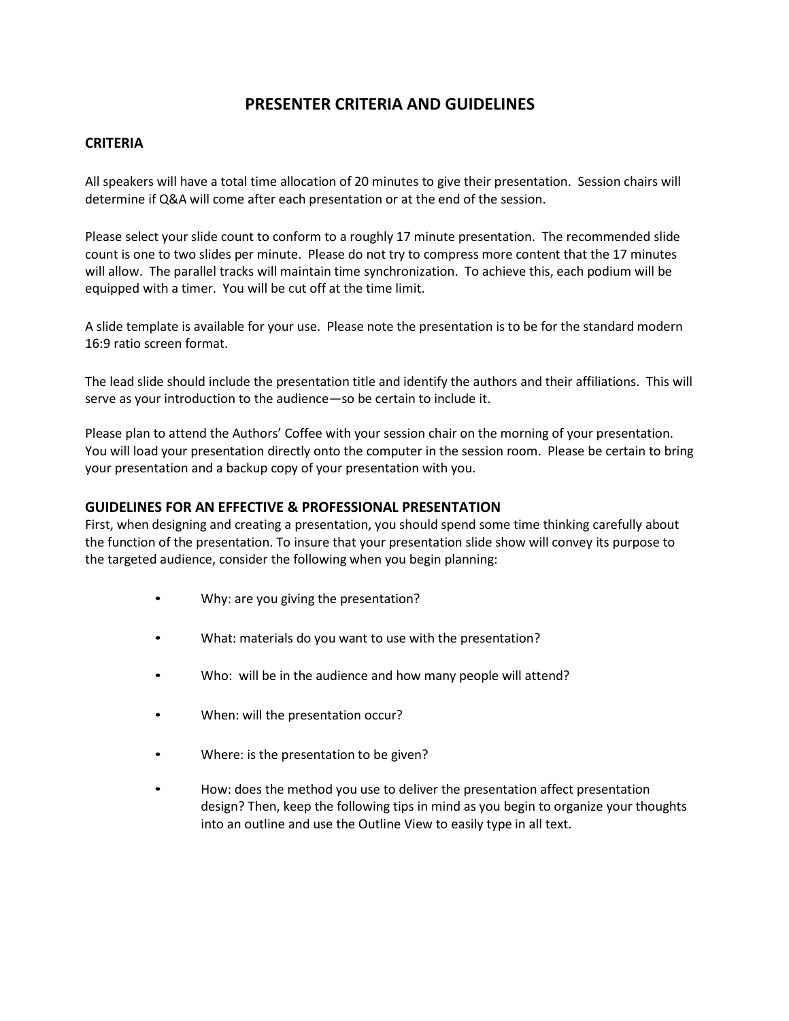# **PRESENTER CRITERIA AND GUIDELINES**

## **CRITERIA**

All speakers will have a total time allocation of 20 minutes to give their presentation. Session chairs will determine if Q&A will come after each presentation or at the end of the session.

Please select your slide count to conform to a roughly 17 minute presentation. The recommended slide count is one to two slides per minute. Please do not try to compress more content that the 17 minutes will allow. The parallel tracks will maintain time synchronization. To achieve this, each podium will be equipped with a timer. You will be cut off at the time limit.

A slide template is available for your use. Please note the presentation is to be for the standard modern 16:9 ratio screen format.

The lead slide should include the presentation title and identify the authors and their affiliations. This will serve as your introduction to the audience—so be certain to include it.

Please plan to attend the Authors' Coffee with your session chair on the morning of your presentation. You will load your presentation directly onto the computer in the session room. Please be certain to bring your presentation and a backup copy of your presentation with you.

### **GUIDELINES FOR AN EFFECTIVE & PROFESSIONAL PRESENTATION**

First, when designing and creating a presentation, you should spend some time thinking carefully about the function of the presentation. To insure that your presentation slide show will convey its purpose to the targeted audience, consider the following when you begin planning:

- Why: are you giving the presentation?
- What: materials do you want to use with the presentation?
- Who: will be in the audience and how many people will attend?
- When: will the presentation occur?
- Where: is the presentation to be given?
- How: does the method you use to deliver the presentation affect presentation design? Then, keep the following tips in mind as you begin to organize your thoughts into an outline and use the Outline View to easily type in all text.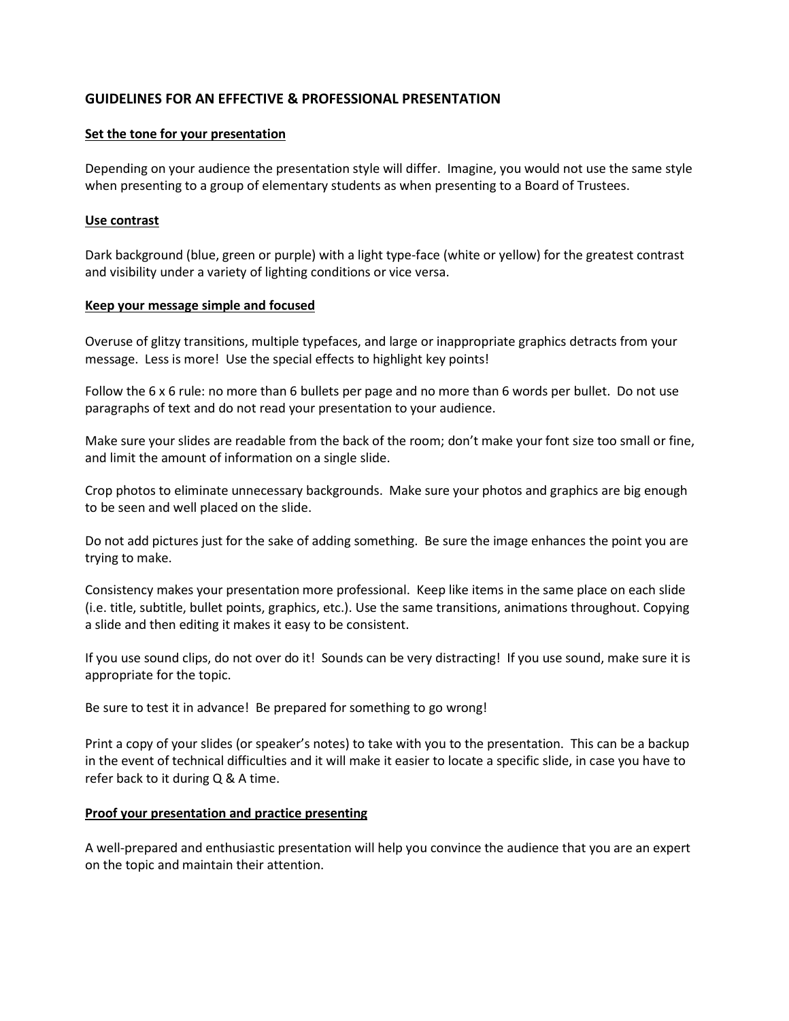# **GUIDELINES FOR AN EFFECTIVE & PROFESSIONAL PRESENTATION**

#### **Set the tone for your presentation**

Depending on your audience the presentation style will differ. Imagine, you would not use the same style when presenting to a group of elementary students as when presenting to a Board of Trustees.

#### **Use contrast**

Dark background (blue, green or purple) with a light type-face (white or yellow) for the greatest contrast and visibility under a variety of lighting conditions or vice versa.

#### **Keep your message simple and focused**

Overuse of glitzy transitions, multiple typefaces, and large or inappropriate graphics detracts from your message. Less is more! Use the special effects to highlight key points!

Follow the 6 x 6 rule: no more than 6 bullets per page and no more than 6 words per bullet. Do not use paragraphs of text and do not read your presentation to your audience.

Make sure your slides are readable from the back of the room; don't make your font size too small or fine, and limit the amount of information on a single slide.

Crop photos to eliminate unnecessary backgrounds. Make sure your photos and graphics are big enough to be seen and well placed on the slide.

Do not add pictures just for the sake of adding something. Be sure the image enhances the point you are trying to make.

Consistency makes your presentation more professional. Keep like items in the same place on each slide (i.e. title, subtitle, bullet points, graphics, etc.). Use the same transitions, animations throughout. Copying a slide and then editing it makes it easy to be consistent.

If you use sound clips, do not over do it! Sounds can be very distracting! If you use sound, make sure it is appropriate for the topic.

Be sure to test it in advance! Be prepared for something to go wrong!

Print a copy of your slides (or speaker's notes) to take with you to the presentation. This can be a backup in the event of technical difficulties and it will make it easier to locate a specific slide, in case you have to refer back to it during Q & A time.

#### **Proof your presentation and practice presenting**

A well-prepared and enthusiastic presentation will help you convince the audience that you are an expert on the topic and maintain their attention.